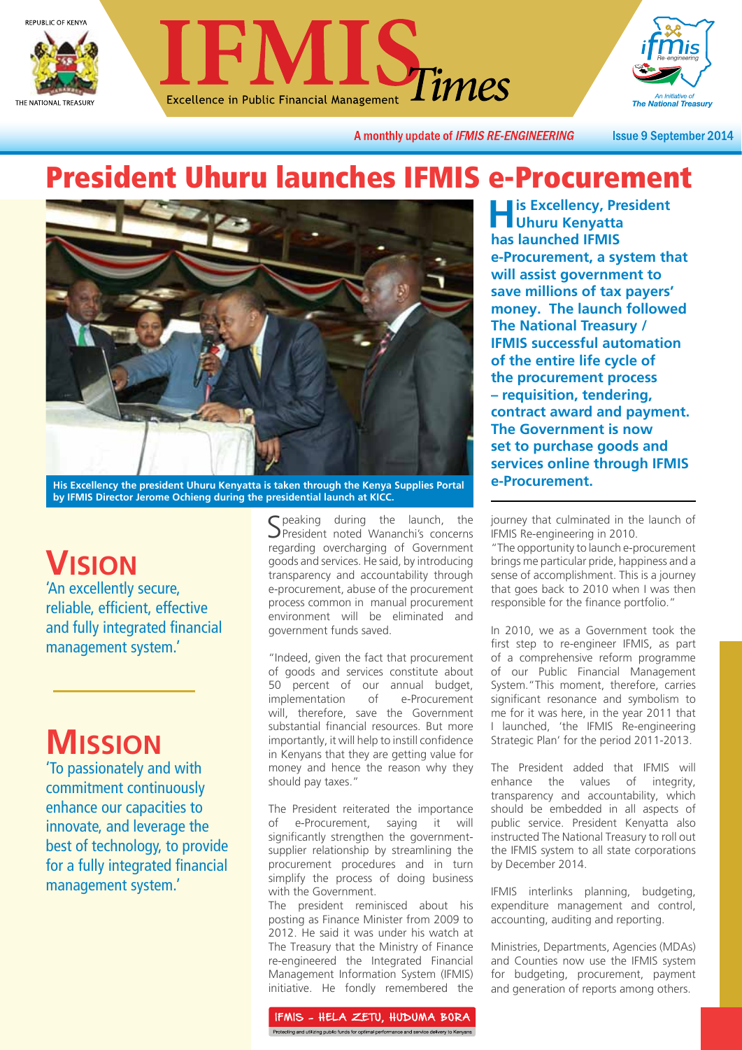





A monthly update of IFMIS RE-ENGINEERING

**Issue 9 September 2014** 

### President Uhuru launches IFMIS e-Procurement



His Excellency the president Uhuru Kenyatta is taken through the Kenya Supplies Portal **Procurement. by IFMIS Director Jerome Ochieng during the presidential launch at KICC.**

## **VISION**

'An excellently secure, reliable, efficient, effective and fully integrated financial management system.'

# **MISSION**

'To passionately and with commitment continuously enhance our capacities to innovate, and leverage the best of technology, to provide for a fully integrated financial management system.'

Speaking during the launch, the Spresident noted Wananchi's concerns regarding overcharging of Government goods and services. He said, by introducing transparency and accountability through e-procurement, abuse of the procurement process common in manual procurement environment will be eliminated and government funds saved.

"Indeed, given the fact that procurement of goods and services constitute about 50 percent of our annual budget,<br>implementation of e-Procurement implementation of e-Procurement will, therefore, save the Government substantial financial resources. But more importantly, it will help to instill confidence in Kenyans that they are getting value for money and hence the reason why they should pay taxes."

The President reiterated the importance of e-Procurement, saying it will significantly strengthen the governmentsupplier relationship by streamlining the procurement procedures and in turn simplify the process of doing business with the Government.

The president reminisced about his posting as Finance Minister from 2009 to 2012. He said it was under his watch at The Treasury that the Ministry of Finance re-engineered the Integrated Financial Management Information System (IFMIS) initiative. He fondly remembered the

IFMIS - HELA ZETU, HUDUMA BORA Protecting and utilizing public funds for optimal performance and service delivery to Kenyans

**His Excellency, President Uhuru Kenyatta has launched IFMIS e-Procurement, a system that will assist government to save millions of tax payers' money. The launch followed The National Treasury / IFMIS successful automation of the entire life cycle of the procurement process – requisition, tendering, contract award and payment. The Government is now set to purchase goods and services online through IFMIS** 

journey that culminated in the launch of IFMIS Re-engineering in 2010.

"The opportunity to launch e-procurement brings me particular pride, happiness and a sense of accomplishment. This is a journey that goes back to 2010 when I was then responsible for the finance portfolio."

In 2010, we as a Government took the first step to re-engineer IFMIS, as part of a comprehensive reform programme of our Public Financial Management System."This moment, therefore, carries significant resonance and symbolism to me for it was here, in the year 2011 that I launched, 'the IFMIS Re-engineering Strategic Plan' for the period 2011-2013.

The President added that IFMIS will enhance the values of integrity, transparency and accountability, which should be embedded in all aspects of public service. President Kenyatta also instructed The National Treasury to roll out the IFMIS system to all state corporations by December 2014.

IFMIS interlinks planning, budgeting, expenditure management and control, accounting, auditing and reporting.

Ministries, Departments, Agencies (MDAs) and Counties now use the IFMIS system for budgeting, procurement, payment and generation of reports among others.